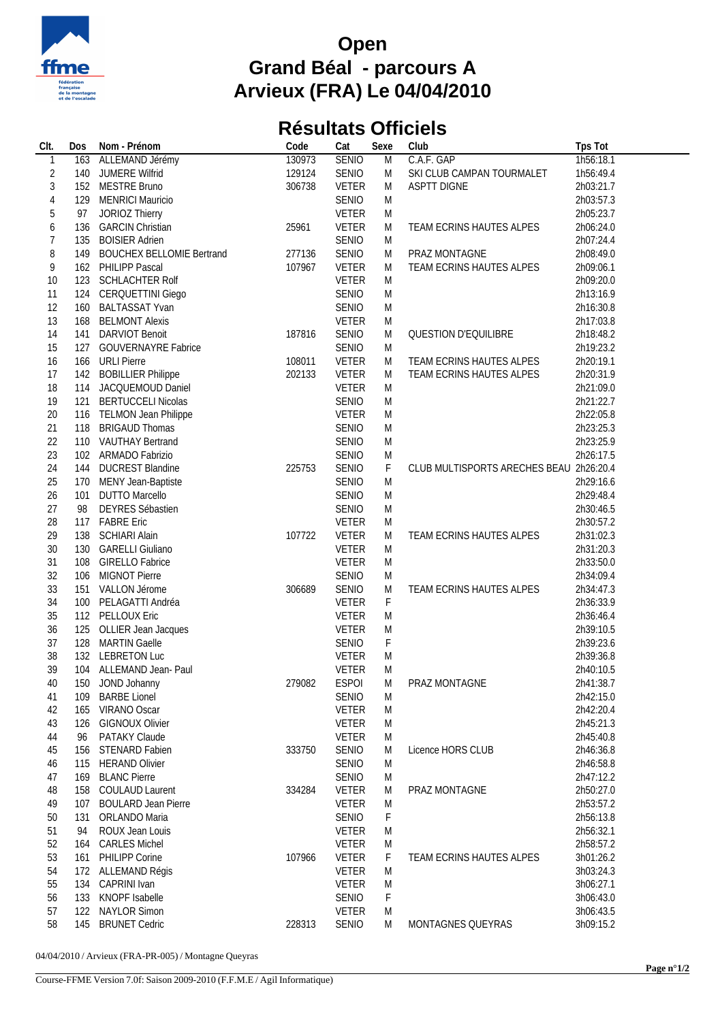

## **Open Grand Béal - parcours A Arvieux (FRA) Le 04/04/2010**

## **Résultats Officiels**

| CIt.           | Dos | Nom - Prénom                  | Code   | Cat          | Sexe           | Club                                    | Tps Tot   |
|----------------|-----|-------------------------------|--------|--------------|----------------|-----------------------------------------|-----------|
|                | 163 | ALLEMAND Jérémy               | 130973 | <b>SENIO</b> | $\overline{M}$ | C.A.F. GAP                              | 1h56:18.1 |
| $\overline{c}$ |     | 140 JUMERE Wilfrid            | 129124 | SENIO        | M              | SKI CLUB CAMPAN TOURMALET               | 1h56:49.4 |
| $\sqrt{3}$     |     | 152 MESTRE Bruno              | 306738 | <b>VETER</b> | M              | <b>ASPTT DIGNE</b>                      | 2h03:21.7 |
| $\overline{4}$ |     | 129 MENRICI Mauricio          |        | <b>SENIO</b> | M              |                                         | 2h03:57.3 |
| 5              | 97  | JORIOZ Thierry                |        | <b>VETER</b> | M              |                                         | 2h05:23.7 |
|                |     |                               |        |              |                |                                         |           |
| 6              | 136 | <b>GARCIN Christian</b>       | 25961  | <b>VETER</b> | M              | TEAM ECRINS HAUTES ALPES                | 2h06:24.0 |
| $\overline{7}$ | 135 | <b>BOISIER Adrien</b>         |        | SENIO        | M              |                                         | 2h07:24.4 |
| 8              |     | 149 BOUCHEX BELLOMIE Bertrand | 277136 | <b>SENIO</b> | M              | PRAZ MONTAGNE                           | 2h08:49.0 |
| 9              |     | 162 PHILIPP Pascal            | 107967 | <b>VETER</b> | M              | TEAM ECRINS HAUTES ALPES                | 2h09:06.1 |
| 10             |     | 123 SCHLACHTER Rolf           |        | <b>VETER</b> | M              |                                         | 2h09:20.0 |
| 11             |     | 124 CERQUETTINI Giego         |        | <b>SENIO</b> | M              |                                         | 2h13:16.9 |
| 12             |     | 160 BALTASSAT Yvan            |        | SENIO        | M              |                                         | 2h16:30.8 |
| 13             |     | 168 BELMONT Alexis            |        | <b>VETER</b> | M              |                                         | 2h17:03.8 |
| 14             | 141 | <b>DARVIOT Benoit</b>         | 187816 | SENIO        | M              | QUESTION D'EQUILIBRE                    | 2h18:48.2 |
| 15             | 127 | <b>GOUVERNAYRE Fabrice</b>    |        | <b>SENIO</b> | M              |                                         | 2h19:23.2 |
| 16             |     | 166 URLI Pierre               | 108011 | <b>VETER</b> | M              | TEAM ECRINS HAUTES ALPES                | 2h20:19.1 |
| 17             |     | 142 BOBILLIER Philippe        | 202133 | <b>VETER</b> | M              | TEAM ECRINS HAUTES ALPES                | 2h20:31.9 |
|                |     |                               |        |              |                |                                         |           |
| 18             |     | 114 JACQUEMOUD Daniel         |        | <b>VETER</b> | M              |                                         | 2h21:09.0 |
| 19             | 121 | <b>BERTUCCELI Nicolas</b>     |        | SENIO        | M              |                                         | 2h21:22.7 |
| 20             |     | 116 TELMON Jean Philippe      |        | <b>VETER</b> | M              |                                         | 2h22:05.8 |
| 21             |     | 118 BRIGAUD Thomas            |        | <b>SENIO</b> | M              |                                         | 2h23:25.3 |
| 22             |     | 110 VAUTHAY Bertrand          |        | <b>SENIO</b> | M              |                                         | 2h23:25.9 |
| 23             |     | 102 ARMADO Fabrizio           |        | <b>SENIO</b> | M              |                                         | 2h26:17.5 |
| 24             |     | 144 DUCREST Blandine          | 225753 | <b>SENIO</b> | F              | CLUB MULTISPORTS ARECHES BEAU 2h26:20.4 |           |
| 25             |     | 170 MENY Jean-Baptiste        |        | <b>SENIO</b> | M              |                                         | 2h29:16.6 |
| 26             | 101 | <b>DUTTO Marcello</b>         |        | <b>SENIO</b> | M              |                                         | 2h29:48.4 |
| 27             | 98  | DEYRES Sébastien              |        | <b>SENIO</b> | M              |                                         | 2h30:46.5 |
| 28             |     | 117 FABRE Eric                |        | <b>VETER</b> | M              |                                         | 2h30:57.2 |
| 29             |     | 138 SCHIARI Alain             | 107722 | <b>VETER</b> | M              | TEAM ECRINS HAUTES ALPES                | 2h31:02.3 |
|                |     |                               |        |              |                |                                         |           |
| 30             |     | 130 GARELLI Giuliano          |        | <b>VETER</b> | M              |                                         | 2h31:20.3 |
| 31             | 108 | <b>GIRELLO Fabrice</b>        |        | <b>VETER</b> | M              |                                         | 2h33:50.0 |
| 32             |     | 106 MIGNOT Pierre             |        | SENIO        | M              |                                         | 2h34:09.4 |
| 33             |     | 151 VALLON Jérome             | 306689 | SENIO        | M              | TEAM ECRINS HAUTES ALPES                | 2h34:47.3 |
| 34             |     | 100 PELAGATTI Andréa          |        | <b>VETER</b> | $\mathsf F$    |                                         | 2h36:33.9 |
| 35             |     | 112 PELLOUX Eric              |        | <b>VETER</b> | M              |                                         | 2h36:46.4 |
| 36             |     | 125 OLLIER Jean Jacques       |        | <b>VETER</b> | M              |                                         | 2h39:10.5 |
| 37             |     | 128 MARTIN Gaelle             |        | <b>SENIO</b> | F              |                                         | 2h39:23.6 |
| 38             |     | 132 LEBRETON Luc              |        | <b>VETER</b> | M              |                                         | 2h39:36.8 |
| 39             |     | 104 ALLEMAND Jean- Paul       |        | <b>VETER</b> | M              |                                         | 2h40:10.5 |
| 40             |     | 150 JOND Johanny              | 279082 | <b>ESPOI</b> | M              | PRAZ MONTAGNE                           | 2h41:38.7 |
| 41             | 109 | <b>BARBE Lionel</b>           |        | <b>SENIO</b> | M              |                                         | 2h42:15.0 |
| 42             | 165 | VIRANO Oscar                  |        | <b>VETER</b> | M              |                                         | 2h42:20.4 |
|                |     | <b>GIGNOUX Olivier</b>        |        |              |                |                                         |           |
| 43             | 126 |                               |        | <b>VETER</b> | M              |                                         | 2h45:21.3 |
| 44             | 96  | PATAKY Claude                 |        | <b>VETER</b> | M              |                                         | 2h45:40.8 |
| 45             |     | 156 STENARD Fabien            | 333750 | SENIO        | M              | Licence HORS CLUB                       | 2h46:36.8 |
| 46             |     | 115 HERAND Olivier            |        | SENIO        | M              |                                         | 2h46:58.8 |
| 47             |     | 169 BLANC Pierre              |        | SENIO        | M              |                                         | 2h47:12.2 |
| 48             | 158 | <b>COULAUD Laurent</b>        | 334284 | <b>VETER</b> | M              | PRAZ MONTAGNE                           | 2h50:27.0 |
| 49             | 107 | <b>BOULARD Jean Pierre</b>    |        | <b>VETER</b> | M              |                                         | 2h53:57.2 |
| 50             | 131 | ORLANDO Maria                 |        | SENIO        | F              |                                         | 2h56:13.8 |
| 51             | 94  | ROUX Jean Louis               |        | <b>VETER</b> | M              |                                         | 2h56:32.1 |
| 52             | 164 | <b>CARLES Michel</b>          |        | <b>VETER</b> | M              |                                         | 2h58:57.2 |
| 53             |     | 161 PHILIPP Corine            | 107966 | <b>VETER</b> | F              | TEAM ECRINS HAUTES ALPES                | 3h01:26.2 |
| 54             |     | 172 ALLEMAND Régis            |        | <b>VETER</b> | M              |                                         | 3h03:24.3 |
|                | 134 | <b>CAPRINI Ivan</b>           |        | <b>VETER</b> |                |                                         |           |
| 55             |     |                               |        |              | M              |                                         | 3h06:27.1 |
| 56             |     | 133 KNOPF Isabelle            |        | <b>SENIO</b> | F              |                                         | 3h06:43.0 |
| 57             | 122 | <b>NAYLOR Simon</b>           |        | <b>VETER</b> | M              |                                         | 3h06:43.5 |
| 58             |     | 145 BRUNET Cedric             | 228313 | <b>SENIO</b> | M              | MONTAGNES QUEYRAS                       | 3h09:15.2 |

04/04/2010 / Arvieux (FRA-PR-005) / Montagne Queyras